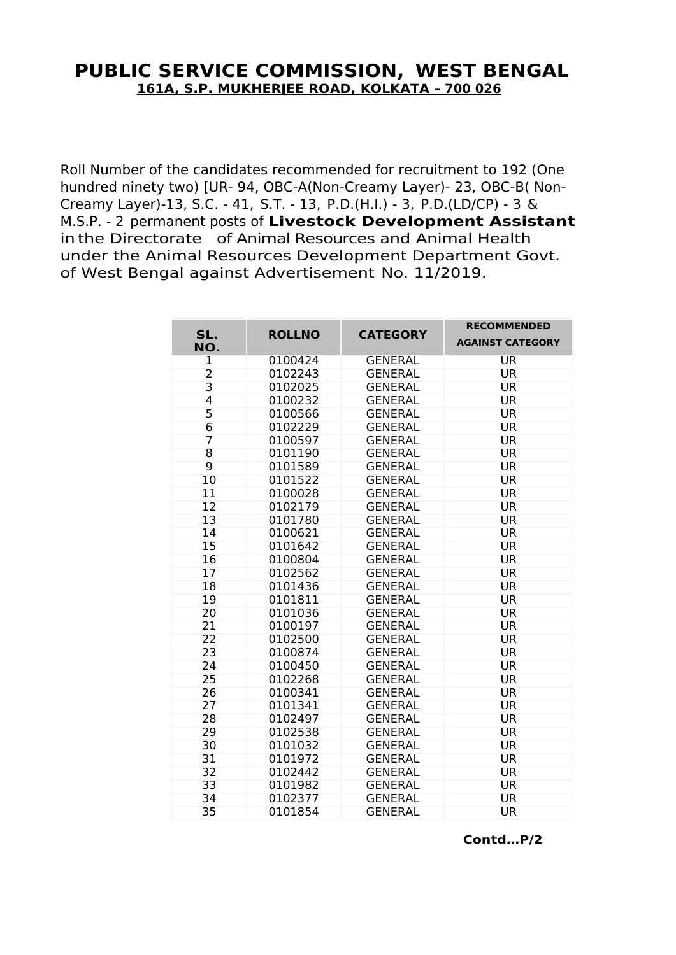## **PUBLIC SERVICE COMMISSION, WEST BENGAL 161A, S.P. MUKHERJEE ROAD, KOLKATA – 700 026**

Roll Number of the candidates recommended for recruitment to 192 (One hundred ninety two) [UR- 94, OBC-A(Non-Creamy Layer)- 23, OBC-B( Non-Creamy Layer)-13, S.C. - 41, S.T. - 13, P.D.(H.I.) - 3, P.D.(LD/CP) - 3 & M.S.P. - 2 permanent posts of **Livestock Development Assistant** in the Directorate of Animal Resources and Animal Health under the Animal Resources Development Department Govt. of West Bengal against Advertisement No. 11/2019.

| SL.            | <b>ROLLNO</b> | <b>CATEGORY</b> | <b>RECOMMENDED</b>      |
|----------------|---------------|-----------------|-------------------------|
| NO.            |               |                 | <b>AGAINST CATEGORY</b> |
| $\mathbf 1$    | 0100424       | <b>GENERAL</b>  | <b>UR</b>               |
| $\overline{2}$ | 0102243       | <b>GENERAL</b>  | <b>UR</b>               |
| 3              | 0102025       | <b>GENERAL</b>  | <b>UR</b>               |
| 4              | 0100232       | <b>GENERAL</b>  | <b>UR</b>               |
| 5              | 0100566       | <b>GENERAL</b>  | <b>UR</b>               |
| 6              | 0102229       | <b>GENERAL</b>  | <b>UR</b>               |
| $\overline{7}$ | 0100597       | <b>GENERAL</b>  | <b>UR</b>               |
| 8              | 0101190       | <b>GENERAL</b>  | <b>UR</b>               |
| 9              | 0101589       | <b>GENERAL</b>  | <b>UR</b>               |
| 10             | 0101522       | <b>GENERAL</b>  | <b>UR</b>               |
| 11             | 0100028       | <b>GENERAL</b>  | <b>UR</b>               |
| 12             | 0102179       | <b>GENERAL</b>  | <b>UR</b>               |
| 13             | 0101780       | <b>GENERAL</b>  | <b>UR</b>               |
| 14             | 0100621       | <b>GENERAL</b>  | <b>UR</b>               |
| 15             | 0101642       | <b>GENERAL</b>  | <b>UR</b>               |
| 16             | 0100804       | <b>GENERAL</b>  | <b>UR</b>               |
| 17             | 0102562       | <b>GENERAL</b>  | <b>UR</b>               |
| 18             | 0101436       | <b>GENERAL</b>  | <b>UR</b>               |
| 19             | 0101811       | <b>GENERAL</b>  | <b>UR</b>               |
| 20             | 0101036       | <b>GENERAL</b>  | <b>UR</b>               |
| 21             | 0100197       | <b>GENERAL</b>  | <b>UR</b>               |
| 22             | 0102500       | <b>GENERAL</b>  | <b>UR</b>               |
| 23             | 0100874       | <b>GENERAL</b>  | <b>UR</b>               |
| 24             | 0100450       | <b>GENERAL</b>  | <b>UR</b>               |
| 25             | 0102268       | <b>GENERAL</b>  | <b>UR</b>               |
| 26             | 0100341       | <b>GENERAL</b>  | <b>UR</b>               |
| 27             | 0101341       | <b>GENERAL</b>  | <b>UR</b>               |
| 28             | 0102497       | <b>GENERAL</b>  | <b>UR</b>               |
| 29             | 0102538       | <b>GENERAL</b>  | <b>UR</b>               |
| 30             | 0101032       | <b>GENERAL</b>  | <b>UR</b>               |
| 31             | 0101972       | <b>GENERAL</b>  | <b>UR</b>               |
| 32             | 0102442       | <b>GENERAL</b>  | <b>UR</b>               |
| 33             | 0101982       | <b>GENERAL</b>  | <b>UR</b>               |
| 34             | 0102377       | <b>GENERAL</b>  | <b>UR</b>               |
| 35             | 0101854       | <b>GENERAL</b>  | <b>UR</b>               |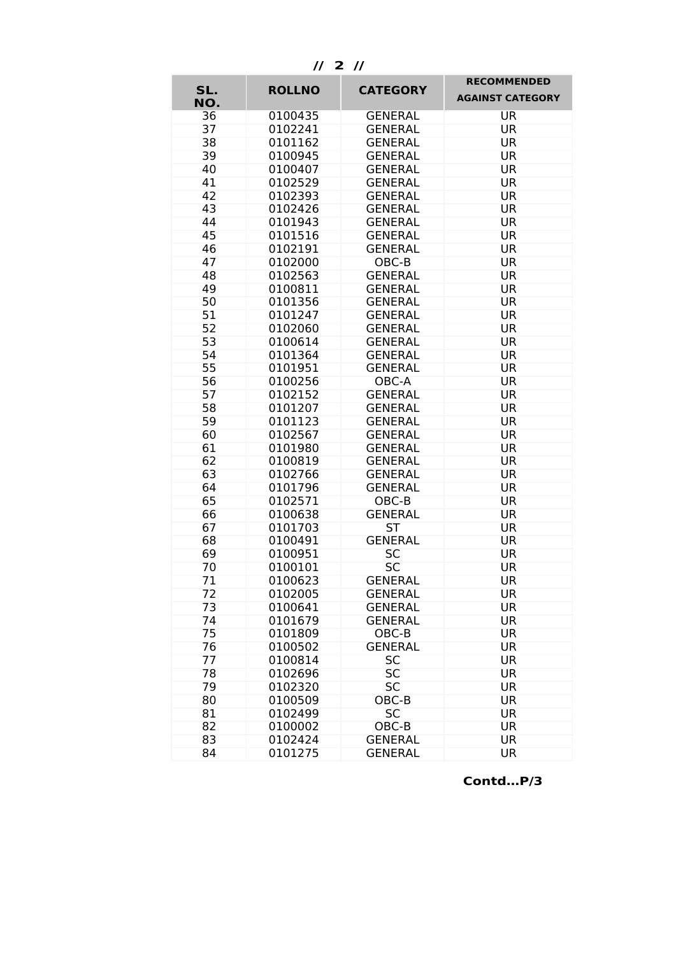**// 2 //**

|            |               | <b>CATEGORY</b> | <b>RECOMMENDED</b>      |
|------------|---------------|-----------------|-------------------------|
| SL.<br>NO. | <b>ROLLNO</b> |                 | <b>AGAINST CATEGORY</b> |
| 36         | 0100435       | <b>GENERAL</b>  | <b>UR</b>               |
| 37         | 0102241       | <b>GENERAL</b>  | <b>UR</b>               |
| 38         | 0101162       | <b>GENERAL</b>  | <b>UR</b>               |
| 39         | 0100945       | <b>GENERAL</b>  | <b>UR</b>               |
| 40         | 0100407       | <b>GENERAL</b>  | <b>UR</b>               |
| 41         | 0102529       | <b>GENERAL</b>  | <b>UR</b>               |
| 42         | 0102393       | <b>GENERAL</b>  | <b>UR</b>               |
| 43         | 0102426       | <b>GENERAL</b>  | <b>UR</b>               |
| 44         | 0101943       | <b>GENERAL</b>  | <b>UR</b>               |
| 45         | 0101516       | <b>GENERAL</b>  | <b>UR</b>               |
| 46         | 0102191       | <b>GENERAL</b>  | <b>UR</b>               |
| 47         | 0102000       | OBC-B           | <b>UR</b>               |
| 48         | 0102563       | <b>GENERAL</b>  | UR                      |
| 49         | 0100811       | <b>GENERAL</b>  | <b>UR</b>               |
| 50         | 0101356       | <b>GENERAL</b>  | <b>UR</b>               |
| 51         | 0101247       | <b>GENERAL</b>  | UR                      |
| 52         | 0102060       | <b>GENERAL</b>  | UR                      |
| 53         | 0100614       | <b>GENERAL</b>  | <b>UR</b>               |
| 54         | 0101364       | <b>GENERAL</b>  | <b>UR</b>               |
| 55         | 0101951       | <b>GENERAL</b>  | <b>UR</b>               |
| 56         | 0100256       | OBC-A           | <b>UR</b>               |
| 57         | 0102152       | <b>GENERAL</b>  | <b>UR</b>               |
| 58         | 0101207       | <b>GENERAL</b>  | <b>UR</b>               |
| 59         | 0101123       | <b>GENERAL</b>  | <b>UR</b>               |
| 60         | 0102567       | <b>GENERAL</b>  | <b>UR</b>               |
| 61         | 0101980       | <b>GENERAL</b>  | <b>UR</b>               |
| 62         | 0100819       | <b>GENERAL</b>  | <b>UR</b>               |
| 63         | 0102766       | <b>GENERAL</b>  | <b>UR</b>               |
| 64         | 0101796       | <b>GENERAL</b>  | <b>UR</b>               |
| 65         | 0102571       | OBC-B           | <b>UR</b>               |
| 66         | 0100638       | <b>GENERAL</b>  | <b>UR</b>               |
| 67         | 0101703       | <b>ST</b>       | <b>UR</b>               |
| 68         | 0100491       | <b>GENERAL</b>  | <b>UR</b>               |
| 69         | 0100951       | <b>SC</b>       | <b>UR</b>               |
| 70         | 0100101       | <b>SC</b>       | <b>UR</b>               |
| 71         | 0100623       | <b>GENERAL</b>  | <b>UR</b>               |
| 72         | 0102005       | <b>GENERAL</b>  | UR                      |
| 73         | 0100641       | <b>GENERAL</b>  | <b>UR</b>               |
| 74         | 0101679       | <b>GENERAL</b>  | <b>UR</b>               |
| 75         | 0101809       | OBC-B           | <b>UR</b>               |
| 76         | 0100502       | <b>GENERAL</b>  | <b>UR</b>               |
| 77         | 0100814       | <b>SC</b>       | <b>UR</b>               |
| 78         | 0102696       | <b>SC</b>       | <b>UR</b>               |
| 79         | 0102320       | <b>SC</b>       | <b>UR</b>               |
| 80         | 0100509       | OBC-B           | <b>UR</b>               |
| 81         | 0102499       | <b>SC</b>       | <b>UR</b>               |
| 82         | 0100002       | OBC-B           | <b>UR</b>               |
| 83         | 0102424       | <b>GENERAL</b>  | <b>UR</b>               |
| 84         | 0101275       | <b>GENERAL</b>  | <b>UR</b>               |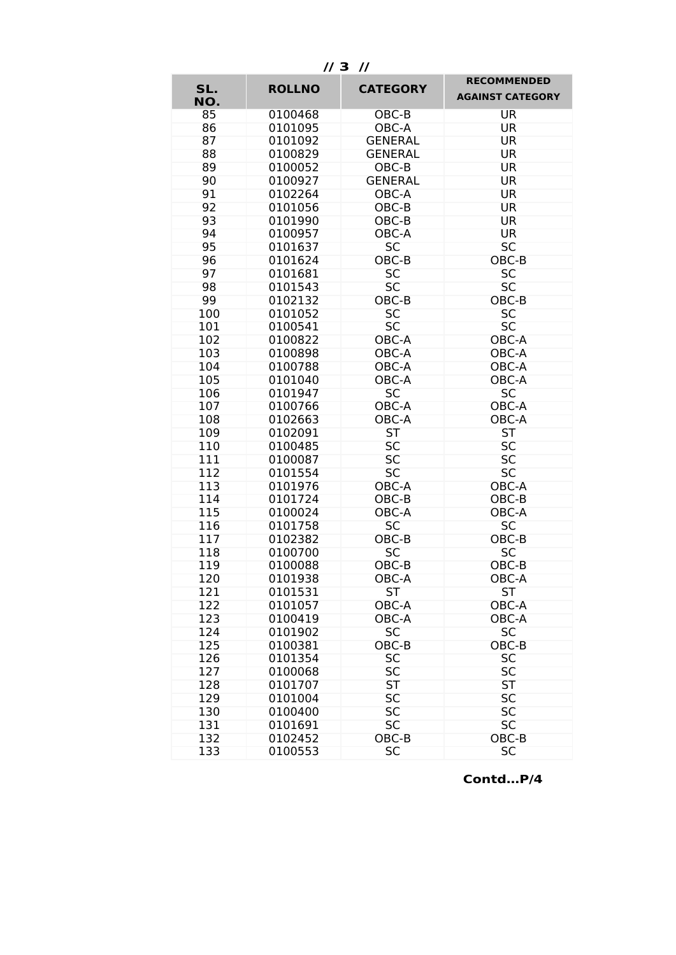**// 3 //**

| SL. |               | <b>CATEGORY</b> | <b>RECOMMENDED</b>      |
|-----|---------------|-----------------|-------------------------|
| NO. | <b>ROLLNO</b> |                 | <b>AGAINST CATEGORY</b> |
| 85  | 0100468       | OBC-B           | <b>UR</b>               |
| 86  | 0101095       | OBC-A           | <b>UR</b>               |
| 87  | 0101092       | <b>GENERAL</b>  | <b>UR</b>               |
| 88  | 0100829       | <b>GENERAL</b>  | <b>UR</b>               |
| 89  | 0100052       | OBC-B           | <b>UR</b>               |
| 90  | 0100927       | <b>GENERAL</b>  | <b>UR</b>               |
| 91  | 0102264       | OBC-A           | <b>UR</b>               |
| 92  | 0101056       | OBC-B           | <b>UR</b>               |
| 93  | 0101990       | OBC-B           | <b>UR</b>               |
| 94  | 0100957       | OBC-A           | <b>UR</b>               |
| 95  | 0101637       | <b>SC</b>       | <b>SC</b>               |
| 96  | 0101624       | OBC-B           | OBC-B                   |
| 97  | 0101681       | <b>SC</b>       | <b>SC</b>               |
| 98  | 0101543       | <b>SC</b>       | <b>SC</b>               |
| 99  | 0102132       | OBC-B           | OBC-B                   |
| 100 | 0101052       | <b>SC</b>       | <b>SC</b>               |
| 101 | 0100541       | <b>SC</b>       | <b>SC</b>               |
| 102 | 0100822       | OBC-A           | OBC-A                   |
| 103 | 0100898       | OBC-A           | OBC-A                   |
| 104 | 0100788       | OBC-A           | OBC-A                   |
| 105 | 0101040       | OBC-A           | OBC-A                   |
| 106 | 0101947       | <b>SC</b>       | <b>SC</b>               |
| 107 | 0100766       | OBC-A           | OBC-A                   |
| 108 | 0102663       | OBC-A           | OBC-A                   |
| 109 | 0102091       | <b>ST</b>       | <b>ST</b>               |
| 110 | 0100485       | <b>SC</b>       | <b>SC</b>               |
| 111 | 0100087       | <b>SC</b>       | <b>SC</b>               |
| 112 | 0101554       | <b>SC</b>       | <b>SC</b>               |
| 113 | 0101976       | OBC-A           | OBC-A                   |
| 114 | 0101724       | OBC-B           | OBC-B                   |
| 115 | 0100024       | OBC-A           | OBC-A                   |
| 116 | 0101758       | <b>SC</b>       | <b>SC</b>               |
| 117 | 0102382       | OBC-B           | OBC-B                   |
| 118 | 0100700       | <b>SC</b>       | <b>SC</b>               |
| 119 | 0100088       | OBC-B           | OBC-B                   |
| 120 | 0101938       | OBC-A           | OBC-A                   |
| 121 | 0101531       | <b>ST</b>       | <b>ST</b>               |
| 122 | 0101057       | OBC-A           | OBC-A                   |
| 123 | 0100419       | OBC-A           | OBC-A                   |
| 124 | 0101902       | <b>SC</b>       | <b>SC</b>               |
| 125 | 0100381       | OBC-B           | OBC-B                   |
| 126 | 0101354       | <b>SC</b>       | <b>SC</b>               |
| 127 | 0100068       | SC              | <b>SC</b>               |
| 128 | 0101707       | <b>ST</b>       | <b>ST</b>               |
| 129 | 0101004       | <b>SC</b>       | SC                      |
| 130 | 0100400       | SC              | <b>SC</b>               |
| 131 | 0101691       | <b>SC</b>       | <b>SC</b>               |
| 132 | 0102452       | OBC-B           | OBC-B                   |
| 133 | 0100553       | <b>SC</b>       | <b>SC</b>               |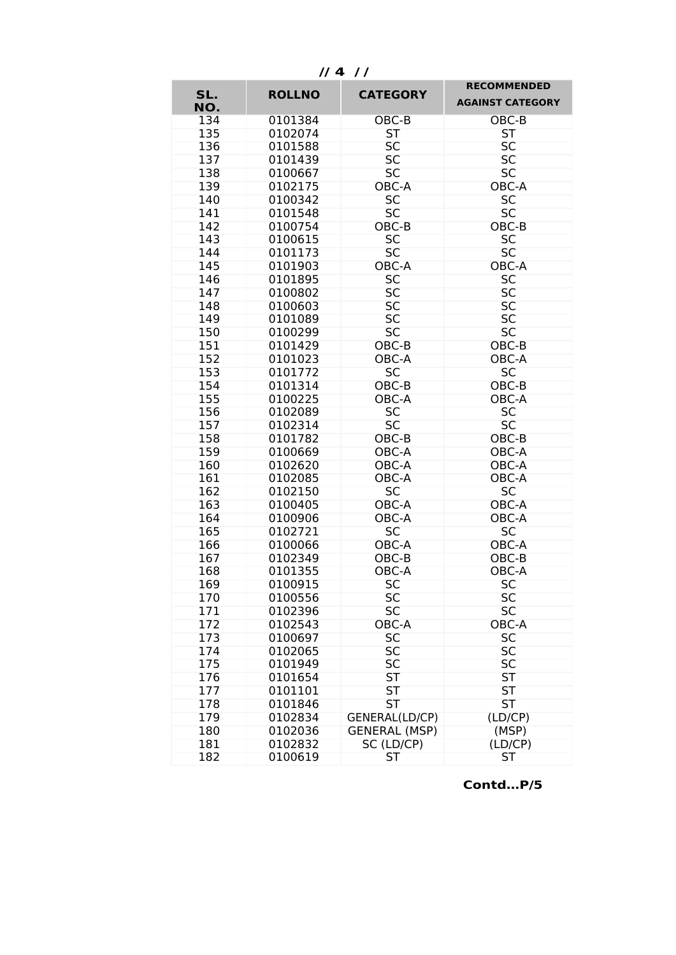**SL. NO. ROLLNO CATEGORY RECOMMENDED AGAINST CATEGORY** 134 0101384 OBC-B OBC-B 135 0102074 ST ST<br>136 0101588 SC SC 136 0101588 SC SC<br>137 0101439 SC SC 0101439 138 0100667 SC SC 139 0102175 OBC-A OBC-A 140 0100342 SC SC 141 0101548 SC SC 142 0100754 OBC-B OBC-B 143 0100615 SC SC 144 0101173 SC SC<br>145 0101903 OBC-A OBC-A 0101903 146 0101895 SC SC<br>147 0100802 SC SC 147 0100802 148 0100603 SC SC<br>149 0101089 SC SC 149 0101089 SC SC<br>150 0100299 SC SC 0100299 151 0101429 OBC-B OBC-B 152 0101023 OBC-A OBC-A 153 0101772 SC SC 154 0101314 OBC-B OBC-B 155 0100225 OBC-A OBC-A 156 0102089 SC SC<br>157 0102314 SC SC 157 0102314 158 0101782 OBC-B OBC-B 159 0100669 OBC-A OBC-A 0102620 OBC-A OBC-A<br>0102085 OBC-A OBC-A 161 0102085 OBC-A OBC-<br>162 0102150 SC SC 0102150 SC<br>0100405 OBC-A 163 0100405 OBC-A OBC-A 164 0100906 OBC-A OBC-A 165 0102721 SC SC 166 0100066 OBC-A OBC-A 167 0102349 OBC-B OBC-B 168 0101355 OBC-A OBC-A 169 0100915 SC SC<br>170 0100556 SC SC 170 0100556 SC SC 171 0102396 SC SC 172 0102543 OBC-A OBC-A 173 0100697 SC SC<br>174 0102065 SC SC 0102065 SC SC<br>0101949 SC SC 175 0101949 176 0101654 ST ST ST 177 0101101 ST ST ST 178 0101846 ST ST ST<br>179 0102834 GENERAL(LD/CP) (LD/CP) 179 0102834 GENERAL(LD/CP) (LD/CP) 180 0102036 GENERAL (MSP) 181 0102832 SC (LD/CP) (LD/CP) 182 0100619 ST ST

 **// 4 / /**